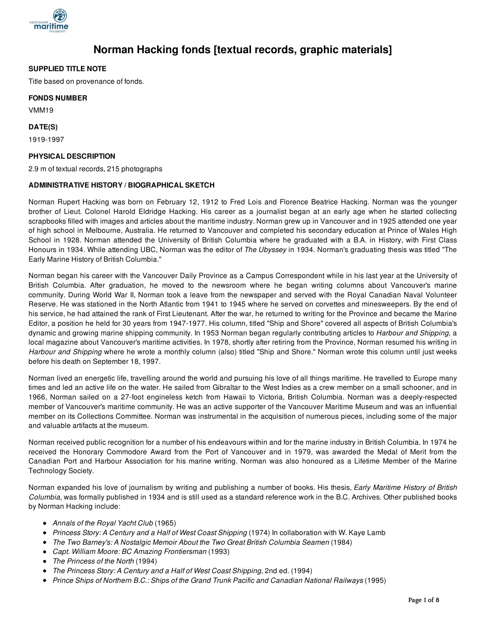

# **Norman Hacking fonds [textual records, graphic materials]**

## **SUPPLIED TITLE NOTE**

Title based on provenance of fonds.

#### **FONDS NUMBER**

VMM19

## **DATE(S)**

1919-1997

## **PHYSICAL DESCRIPTION**

2.9 m of textual records, 215 photographs

## **ADMINISTRATIVE HISTORY / BIOGRAPHICAL SKETCH**

Norman Rupert Hacking was born on February 12, 1912 to Fred Lois and Florence Beatrice Hacking. Norman was the younger brother of Lieut. Colonel Harold Eldridge Hacking. His career as a journalist began at an early age when he started collecting scrapbooks filled with images and articles about the maritime industry. Norman grew up in Vancouver and in 1925 attended one year of high school in Melbourne, Australia. He returned to Vancouver and completed his secondary education at Prince of Wales High School in 1928. Norman attended the University of British Columbia where he graduated with a B.A. in History, with First Class Honours in 1934. While attending UBC, Norman was the editor of *The Ubyssey* in 1934. Norman's graduating thesis was titled "The Early Marine History of British Columbia."

Norman began his career with the Vancouver Daily Province as a Campus Correspondent while in his last year at the University of British Columbia. After graduation, he moved to the newsroom where he began writing columns about Vancouver's marine community. During World War II, Norman took a leave from the newspaper and served with the Royal Canadian Naval Volunteer Reserve. He was stationed in the North Atlantic from 1941 to 1945 where he served on corvettes and minesweepers. By the end of his service, he had attained the rank of First Lieutenant. After the war, he returned to writing for the Province and became the Marine Editor, a position he held for 30 years from 1947-1977. His column, titled "Ship and Shore" covered all aspects of British Columbia's dynamic and growing marine shipping community. In 1953 Norman began regularly contributing articles to *Harbour and Shipping*, a local magazine about Vancouver's maritime activities. In 1978, shortly after retiring from the Province, Norman resumed his writing in *Harbour and Shipping* where he wrote a monthly column (also) titled "Ship and Shore." Norman wrote this column until just weeks before his death on September 18, 1997.

Norman lived an energetic life, travelling around the world and pursuing his love of all things maritime. He travelled to Europe many times and led an active life on the water. He sailed from Gibraltar to the West Indies as a crew member on a small schooner, and in 1966, Norman sailed on a 27-foot engineless ketch from Hawaii to Victoria, British Columbia. Norman was a deeply-respected member of Vancouver's maritime community. He was an active supporter of the Vancouver Maritime Museum and was an influential member on its Collections Committee. Norman was instrumental in the acquisition of numerous pieces, including some of the major and valuable artifacts at the museum.

Norman received public recognition for a number of his endeavours within and for the marine industry in British Columbia. In 1974 he received the Honorary Commodore Award from the Port of Vancouver and in 1979, was awarded the Medal of Merit from the Canadian Port and Harbour Association for his marine writing. Norman was also honoured as a Lifetime Member of the Marine Technology Society.

Norman expanded his love of journalism by writing and publishing a number of books. His thesis, *Early Maritime History of British Columbia*, was formally published in 1934 and is still used as a standard reference work in the B.C. Archives. Other published books by Norman Hacking include:

- *Annals of the Royal Yacht Club* (1965)
- *Princess Story: A Century and a Half of West Coast Shipping* (1974) In collaboration with W. Kaye Lamb
- *The Two Barney's: A Nostalgic Memoir About the Two Great British Columbia Seamen* (1984)
- *Capt. William Moore: BC Amazing Frontiersman* (1993)
- *The Princess of the North* (1994)
- *The Princess Story: A Century and a Half of West Coast Shipping*, 2nd ed. (1994)
- *Prince Ships of Northern B.C.: Ships of the Grand Trunk Pacific and Canadian National Railways* (1995)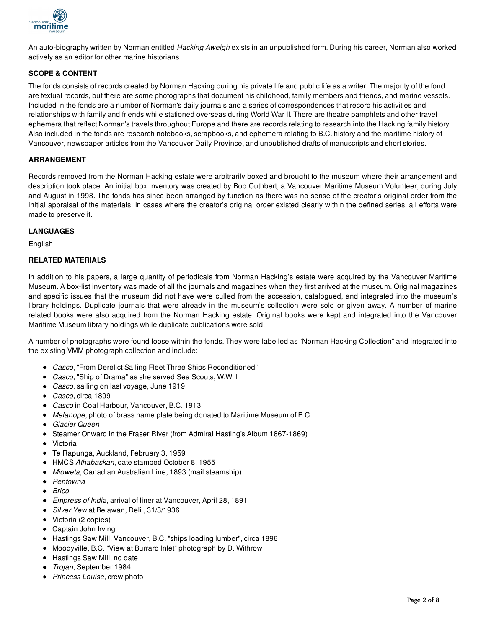

An auto-biography written by Norman entitled *Hacking Aweigh* exists in an unpublished form. During his career, Norman also worked actively as an editor for other marine historians.

## **SCOPE & CONTENT**

The fonds consists of records created by Norman Hacking during his private life and public life as a writer. The majority of the fond are textual records, but there are some photographs that document his childhood, family members and friends, and marine vessels. Included in the fonds are a number of Norman's daily journals and a series of correspondences that record his activities and relationships with family and friends while stationed overseas during World War II. There are theatre pamphlets and other travel ephemera that reflect Norman's travels throughout Europe and there are records relating to research into the Hacking family history. Also included in the fonds are research notebooks, scrapbooks, and ephemera relating to B.C. history and the maritime history of Vancouver, newspaper articles from the Vancouver Daily Province, and unpublished drafts of manuscripts and short stories.

#### **ARRANGEMENT**

Records removed from the Norman Hacking estate were arbitrarily boxed and brought to the museum where their arrangement and description took place. An initial box inventory was created by Bob Cuthbert, a Vancouver Maritime Museum Volunteer, during July and August in 1998. The fonds has since been arranged by function as there was no sense of the creator's original order from the initial appraisal of the materials. In cases where the creator's original order existed clearly within the defined series, all efforts were made to preserve it.

#### **LANGUAGES**

English

#### **RELATED MATERIALS**

In addition to his papers, a large quantity of periodicals from Norman Hacking's estate were acquired by the Vancouver Maritime Museum. A box-list inventory was made of all the journals and magazines when they first arrived at the museum. Original magazines and specific issues that the museum did not have were culled from the accession, catalogued, and integrated into the museum's library holdings. Duplicate journals that were already in the museum's collection were sold or given away. A number of marine related books were also acquired from the Norman Hacking estate. Original books were kept and integrated into the Vancouver Maritime Museum library holdings while duplicate publications were sold.

A number of photographs were found loose within the fonds. They were labelled as "Norman Hacking Collection" and integrated into the existing VMM photograph collection and include:

- *Casco*, "From Derelict Sailing Fleet Three Ships Reconditioned"
- *Casco*, "Ship of Drama" as she served Sea Scouts, W.W. I
- *Casco*, sailing on last voyage, June 1919
- *Casco*, circa 1899
- *Casco* in Coal Harbour, Vancouver, B.C. 1913
- *Melanope*, photo of brass name plate being donated to Maritime Museum of B.C.
- *Glacier Queen*
- Steamer Onward in the Fraser River (from Admiral Hasting's Album 1867-1869)
- Victoria
- Te Rapunga, Auckland, February 3, 1959
- HMCS *Athabaskan*, date stamped October 8, 1955
- *Mioweta*, Canadian Australian Line, 1893 (mail steamship)
- *Pentowna*
- *Brico*
- *Empress of India*, arrival of liner at Vancouver, April 28, 1891
- *Silver Yew* at Belawan, Deli., 31/3/1936
- Victoria (2 copies)
- Captain John Irving
- Hastings Saw Mill, Vancouver, B.C. "ships loading lumber", circa 1896
- Moodyville, B.C. "View at Burrard Inlet" photograph by D. Withrow
- Hastings Saw Mill, no date
- *Trojan*, September 1984
- *Princess Louise*, crew photo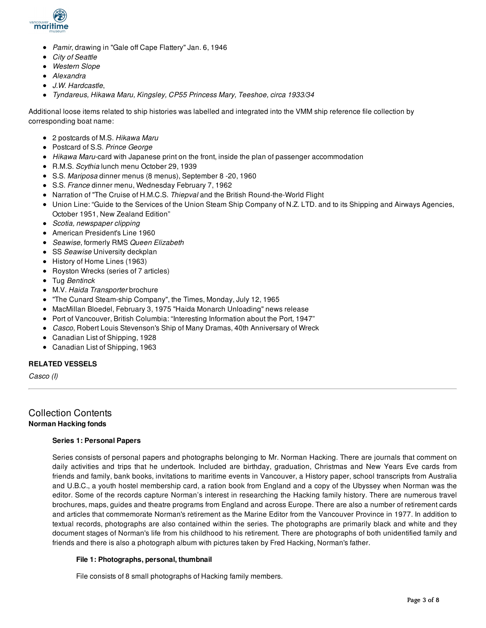

- *Pamir*, drawing in "Gale off Cape Flattery" Jan. 6, 1946
- *City of Seattle*
- *Western Slope*
- *Alexandra*
- *J.W. Hardcastle*,
- *Tyndareus, Hikawa Maru, Kingsley, CP55 Princess Mary, Teeshoe, circa 1933/34*

Additional loose items related to ship histories was labelled and integrated into the VMM ship reference file collection by corresponding boat name:

- 2 postcards of M.S. *Hikawa Maru*
- Postcard of S.S. *Prince George*
- *Hikawa Maru*-card with Japanese print on the front, inside the plan of passenger accommodation
- R.M.S. *Scythia* lunch menu October 29, 1939
- S.S. *Mariposa* dinner menus (8 menus), September 8 -20, 1960
- S.S. *France* dinner menu, Wednesday February 7, 1962
- Narration of "The Cruise of H.M.C.S. *Thiepval* and the British Round-the-World Flight
- Union Line: "Guide to the Services of the Union Steam Ship Company of N.Z. LTD. and to its Shipping and Airways Agencies, October 1951, New Zealand Edition"
- *Scotia, newspaper clipping*
- American President's Line 1960
- *Seawise*, formerly RMS *Queen Elizabeth*
- **SS** Seawise University deckplan
- History of Home Lines (1963)
- Royston Wrecks (series of 7 articles)
- Tug *Bentinck*
- M.V. *Haida Transporter* brochure
- "The Cunard Steam-ship Company", the Times, Monday, July 12, 1965
- MacMillan Bloedel, February 3, 1975 "Haida Monarch Unloading" news release
- Port of Vancouver, British Columbia: "Interesting Information about the Port, 1947"
- *Casco*, Robert Louis Stevenson's Ship of Many Dramas, 40th Anniversary of Wreck
- Canadian List of Shipping, 1928
- Canadian List of Shipping, 1963

#### **RELATED VESSELS**

*Casco (I)*

## Collection Contents **Norman Hacking fonds**

#### **Series 1: Personal Papers**

Series consists of personal papers and photographs belonging to Mr. Norman Hacking. There are journals that comment on daily activities and trips that he undertook. Included are birthday, graduation, Christmas and New Years Eve cards from friends and family, bank books, invitations to maritime events in Vancouver, a History paper, school transcripts from Australia and U.B.C., a youth hostel membership card, a ration book from England and a copy of the Ubyssey when Norman was the editor. Some of the records capture Norman's interest in researching the Hacking family history. There are numerous travel brochures, maps, guides and theatre programs from England and across Europe. There are also a number of retirement cards and articles that commemorate Norman's retirement as the Marine Editor from the Vancouver Province in 1977. In addition to textual records, photographs are also contained within the series. The photographs are primarily black and white and they document stages of Norman's life from his childhood to his retirement. There are photographs of both unidentified family and friends and there is also a photograph album with pictures taken by Fred Hacking, Norman's father.

#### **File 1: Photographs, personal, thumbnail**

File consists of 8 small photographs of Hacking family members.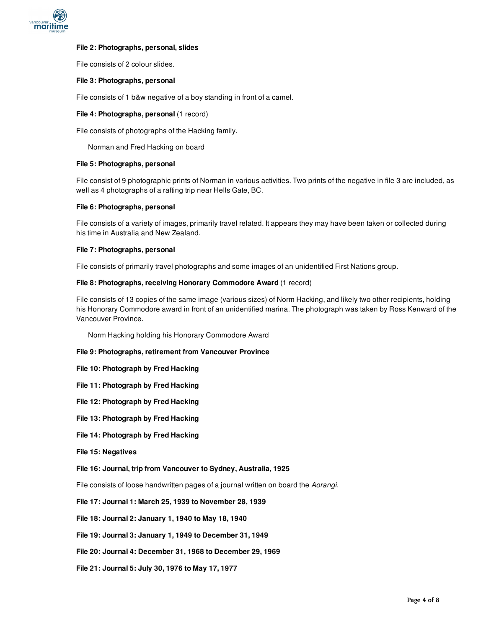

#### **File 2: Photographs, personal, slides**

File consists of 2 colour slides.

#### **File 3: Photographs, personal**

File consists of 1 b&w negative of a boy standing in front of a camel.

#### **File 4: Photographs, personal** (1 record)

File consists of photographs of the Hacking family.

Norman and Fred Hacking on board

#### **File 5: Photographs, personal**

File consist of 9 photographic prints of Norman in various activities. Two prints of the negative in file 3 are included, as well as 4 photographs of a rafting trip near Hells Gate, BC.

#### **File 6: Photographs, personal**

File consists of a variety of images, primarily travel related. It appears they may have been taken or collected during his time in Australia and New Zealand.

#### **File 7: Photographs, personal**

File consists of primarily travel photographs and some images of an unidentified First Nations group.

#### **File 8: Photographs, receiving Honorary Commodore Award** (1 record)

File consists of 13 copies of the same image (various sizes) of Norm Hacking, and likely two other recipients, holding his Honorary Commodore award in front of an unidentified marina. The photograph was taken by Ross Kenward of the Vancouver Province.

Norm Hacking holding his Honorary Commodore Award

- **File 9: Photographs, retirement from Vancouver Province**
- **File 10: Photograph by Fred Hacking**
- **File 11: Photograph by Fred Hacking**
- **File 12: Photograph by Fred Hacking**
- **File 13: Photograph by Fred Hacking**
- **File 14: Photograph by Fred Hacking**
- **File 15: Negatives**
- **File 16: Journal, trip from Vancouver to Sydney, Australia, 1925**

File consists of loose handwritten pages of a journal written on board the *Aorangi*.

- **File 17: Journal 1: March 25, 1939 to November 28, 1939**
- **File 18: Journal 2: January 1, 1940 to May 18, 1940**
- **File 19: Journal 3: January 1, 1949 to December 31, 1949**
- **File 20: Journal 4: December 31, 1968 to December 29, 1969**
- **File 21: Journal 5: July 30, 1976 to May 17, 1977**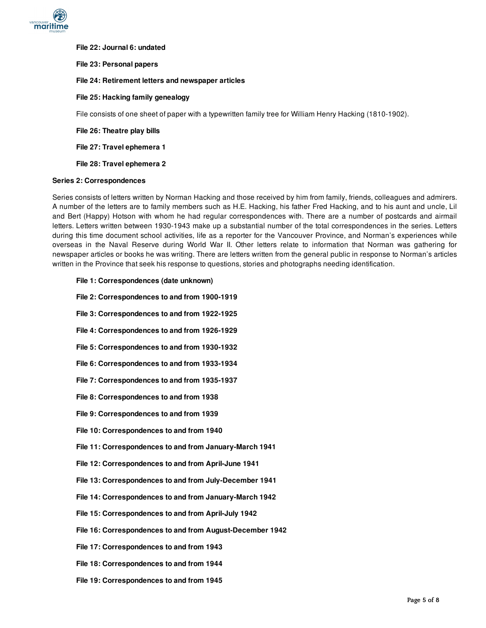

**File 22: Journal 6: undated**

**File 23: Personal papers**

- **File 24: Retirement letters and newspaper articles**
- **File 25: Hacking family genealogy**

File consists of one sheet of paper with a typewritten family tree for William Henry Hacking (1810-1902).

**File 26: Theatre play bills**

**File 27: Travel ephemera 1**

**File 28: Travel ephemera 2**

#### **Series 2: Correspondences**

Series consists of letters written by Norman Hacking and those received by him from family, friends, colleagues and admirers. A number of the letters are to family members such as H.E. Hacking, his father Fred Hacking, and to his aunt and uncle, Lil and Bert (Happy) Hotson with whom he had regular correspondences with. There are a number of postcards and airmail letters. Letters written between 1930-1943 make up a substantial number of the total correspondences in the series. Letters during this time document school activities, life as a reporter for the Vancouver Province, and Norman's experiences while overseas in the Naval Reserve during World War II. Other letters relate to information that Norman was gathering for newspaper articles or books he was writing. There are letters written from the general public in response to Norman's articles written in the Province that seek his response to questions, stories and photographs needing identification.

- **File 1: Correspondences (date unknown)**
- **File 2: Correspondences to and from 1900-1919**
- **File 3: Correspondences to and from 1922-1925**
- **File 4: Correspondences to and from 1926-1929**
- **File 5: Correspondences to and from 1930-1932**
- **File 6: Correspondences to and from 1933-1934**
- **File 7: Correspondences to and from 1935-1937**
- **File 8: Correspondences to and from 1938**
- **File 9: Correspondences to and from 1939**
- **File 10: Correspondences to and from 1940**
- **File 11: Correspondences to and from January-March 1941**
- **File 12: Correspondences to and from April-June 1941**
- **File 13: Correspondences to and from July-December 1941**
- **File 14: Correspondences to and from January-March 1942**
- **File 15: Correspondences to and from April-July 1942**
- **File 16: Correspondences to and from August-December 1942**
- **File 17: Correspondences to and from 1943**
- **File 18: Correspondences to and from 1944**
- **File 19: Correspondences to and from 1945**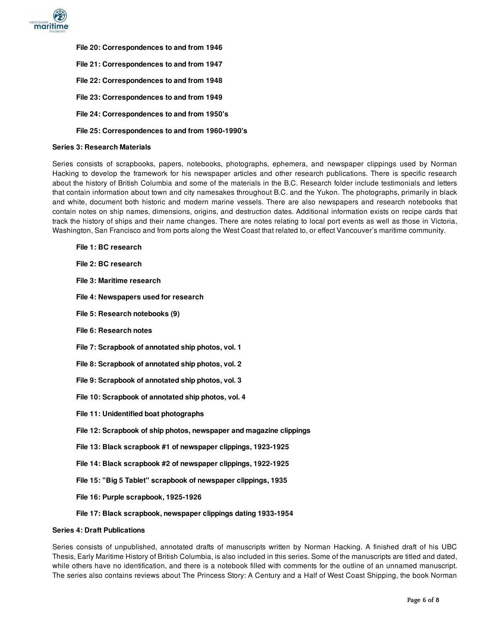

**File 20: Correspondences to and from 1946 File 21: Correspondences to and from 1947 File 22: Correspondences to and from 1948 File 23: Correspondences to and from 1949 File 24: Correspondences to and from 1950's**

## **File 25: Correspondences to and from 1960-1990's**

#### **Series 3: Research Materials**

Series consists of scrapbooks, papers, notebooks, photographs, ephemera, and newspaper clippings used by Norman Hacking to develop the framework for his newspaper articles and other research publications. There is specific research about the history of British Columbia and some of the materials in the B.C. Research folder include testimonials and letters that contain information about town and city namesakes throughout B.C. and the Yukon. The photographs, primarily in black and white, document both historic and modern marine vessels. There are also newspapers and research notebooks that contain notes on ship names, dimensions, origins, and destruction dates. Additional information exists on recipe cards that track the history of ships and their name changes. There are notes relating to local port events as well as those in Victoria, Washington, San Francisco and from ports along the West Coast that related to, or effect Vancouver's maritime community.

- **File 1: BC research**
- **File 2: BC research**
- **File 3: Maritime research**
- **File 4: Newspapers used for research**
- **File 5: Research notebooks (9)**
- **File 6: Research notes**
- **File 7: Scrapbook of annotated ship photos, vol. 1**
- **File 8: Scrapbook of annotated ship photos, vol. 2**
- **File 9: Scrapbook of annotated ship photos, vol. 3**
- **File 10: Scrapbook of annotated ship photos, vol. 4**
- **File 11: Unidentified boat photographs**
- **File 12: Scrapbook of ship photos, newspaper and magazine clippings**
- **File 13: Black scrapbook #1 of newspaper clippings, 1923-1925**
- **File 14: Black scrapbook #2 of newspaper clippings, 1922-1925**
- **File 15: "Big 5 Tablet" scrapbook of newspaper clippings, 1935**
- **File 16: Purple scrapbook, 1925-1926**

#### **File 17: Black scrapbook, newspaper clippings dating 1933-1954**

#### **Series 4: Draft Publications**

Series consists of unpublished, annotated drafts of manuscripts written by Norman Hacking. A finished draft of his UBC Thesis, Early Maritime History of British Columbia, is also included in this series. Some of the manuscripts are titled and dated, while others have no identification, and there is a notebook filled with comments for the outline of an unnamed manuscript. The series also contains reviews about The Princess Story: A Century and a Half of West Coast Shipping, the book Norman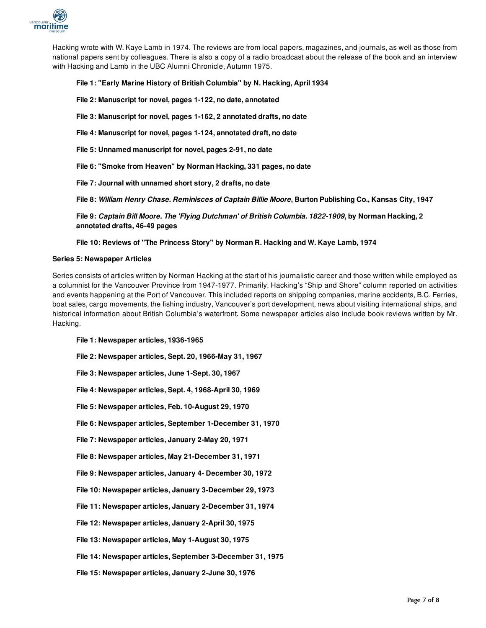

Hacking wrote with W. Kaye Lamb in 1974. The reviews are from local papers, magazines, and journals, as well as those from national papers sent by colleagues. There is also a copy of a radio broadcast about the release of the book and an interview with Hacking and Lamb in the UBC Alumni Chronicle, Autumn 1975.

## **File 1: "Early Marine History of British Columbia" by N. Hacking, April 1934**

**File 2: Manuscript for novel, pages 1-122, no date, annotated**

- **File 3: Manuscript for novel, pages 1-162, 2 annotated drafts, no date**
- **File 4: Manuscript for novel, pages 1-124, annotated draft, no date**
- **File 5: Unnamed manuscript for novel, pages 2-91, no date**

**File 6: "Smoke from Heaven" by Norman Hacking, 331 pages, no date**

**File 7: Journal with unnamed short story, 2 drafts, no date**

**File 8:** *William Henry Chase. Reminisces of Captain Billie Moore***, Burton Publishing Co., Kansas City, 1947**

**File 9:** *Captain Bill Moore. The 'Flying Dutchman' of British Columbia. 1822-1909***, by Norman Hacking, 2 annotated drafts, 46-49 pages**

## **File 10: Reviews of "The Princess Story" by Norman R. Hacking and W. Kaye Lamb, 1974**

#### **Series 5: Newspaper Articles**

Series consists of articles written by Norman Hacking at the start of his journalistic career and those written while employed as a columnist for the Vancouver Province from 1947-1977. Primarily, Hacking's "Ship and Shore" column reported on activities and events happening at the Port of Vancouver. This included reports on shipping companies, marine accidents, B.C. Ferries, boat sales, cargo movements, the fishing industry, Vancouver's port development, news about visiting international ships, and historical information about British Columbia's waterfront. Some newspaper articles also include book reviews written by Mr. Hacking.

**File 1: Newspaper articles, 1936-1965**

**File 2: Newspaper articles, Sept. 20, 1966-May 31, 1967**

**File 3: Newspaper articles, June 1-Sept. 30, 1967**

**File 4: Newspaper articles, Sept. 4, 1968-April 30, 1969**

**File 5: Newspaper articles, Feb. 10-August 29, 1970**

**File 6: Newspaper articles, September 1-December 31, 1970**

**File 7: Newspaper articles, January 2-May 20, 1971**

**File 8: Newspaper articles, May 21-December 31, 1971**

**File 9: Newspaper articles, January 4- December 30, 1972**

**File 10: Newspaper articles, January 3-December 29, 1973**

**File 11: Newspaper articles, January 2-December 31, 1974**

**File 12: Newspaper articles, January 2-April 30, 1975**

**File 13: Newspaper articles, May 1-August 30, 1975**

**File 14: Newspaper articles, September 3-December 31, 1975**

**File 15: Newspaper articles, January 2-June 30, 1976**